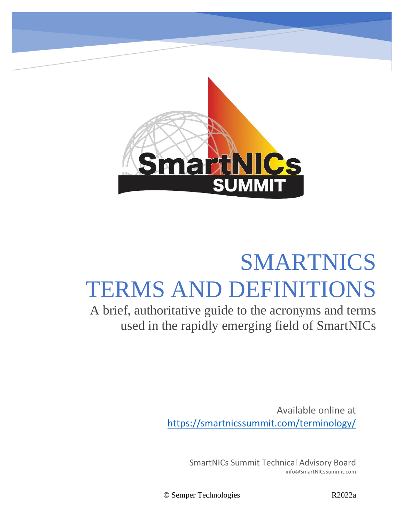

## SMARTNICS TERMS AND DEFINITIONS

A brief, authoritative guide to the acronyms and terms used in the rapidly emerging field of SmartNICs

> Available online at <https://smartnicssummit.com/terminology/>

> > SmartNICs Summit Technical Advisory Board info@SmartNICsSummit.com

© Semper Technologies R2022a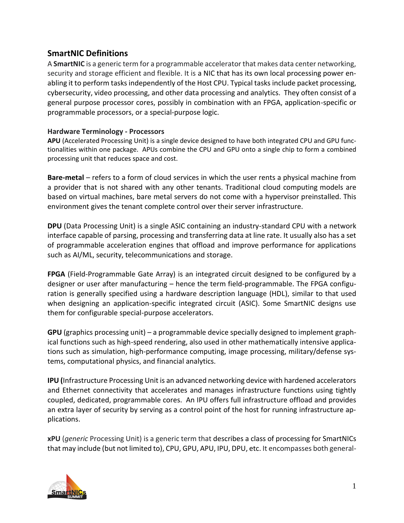## **SmartNIC Definitions**

A **SmartNIC** is a generic term for a programmable accelerator that makes data center networking, security and storage efficient and flexible. It is a NIC that has its own local processing power enabling it to perform tasks independently of the Host CPU. Typical tasks include packet processing, cybersecurity, video processing, and other data processing and analytics. They often consist of a general purpose processor cores, possibly in combination with an FPGA, application-specific or programmable processors, or a special-purpose logic.

## **Hardware Terminology - Processors**

**APU** (Accelerated Processing Unit) is a single device designed to have both integrated CPU and GPU functionalities within one package. APUs combine the CPU and GPU onto a single chip to form a combined processing unit that reduces space and cost.

**Bare-metal** – refers to a form of cloud services in which the user rents a physical machine from a provider that is not shared with any other tenants. Traditional cloud computing models are based on virtual machines, bare metal servers do not come with a hypervisor preinstalled. This environment gives the tenant complete control over their server infrastructure.

**DPU** (Data Processing Unit) is a single ASIC containing an industry-standard CPU with a network interface capable of parsing, processing and transferring data at line rate. It usually also has a set of programmable acceleration engines that offload and improve performance for applications such as AI/ML, security, telecommunications and storage.

**FPGA** (Field-Programmable Gate Array) is an integrated circuit designed to be configured by a designer or user after manufacturing – hence the term field-programmable. The FPGA configuration is generally specified using a hardware description language (HDL), similar to that used when designing an application-specific integrated circuit (ASIC). Some SmartNIC designs use them for configurable special-purpose accelerators.

**GPU** (graphics processing unit) – a programmable device specially designed to implement graphical functions such as high-speed rendering, also used in other mathematically intensive applications such as simulation, high-performance computing, image processing, military/defense systems, computational physics, and financial analytics.

**IPU (**Infrastructure Processing Unit is an advanced networking device with hardened accelerators and Ethernet connectivity that accelerates and manages infrastructure functions using tightly coupled, dedicated, programmable cores.  An IPU offers full infrastructure offload and provides an extra layer of security by serving as a control point of the host for running infrastructure applications.   

**xPU** (*generic* Processing Unit) is a generic term that describes a class of processing for SmartNICs that may include (but not limited to), CPU, GPU, APU, IPU, DPU, etc. It encompasses both general-

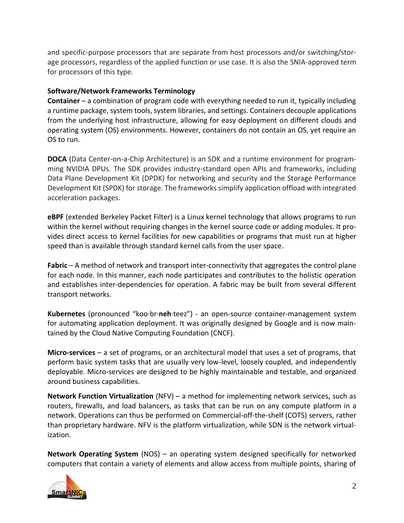and specific-purpose processors that are separate from host processors and/or switching/storage processors, regardless of the applied function or use case. It is also the SNIA-approved term for processors of this type.

## **Software/Network Frameworks Terminology**

**Container** – a combination of program code with everything needed to run it, typically including a runtime package, system tools, system libraries, and settings. Containers decouple applications from the underlying host infrastructure, allowing for easy deployment on different clouds and operating system (OS) environments. However, containers do not contain an OS, yet require an OS to run.

**DOCA** (Data Center-on-a-Chip Architecture) is an SDK and a runtime environment for programming NVIDIA DPUs. The SDK provides industry-standard open APIs and frameworks, including Data Plane Development Kit (DPDK) for networking and security and the Storage Performance Development Kit (SPDK) for storage. The frameworks simplify application offload with integrated acceleration packages.

**eBPF** (extended Berkeley Packet Filter) is a Linux kernel technology that allows programs to run within the kernel without requiring changes in the kernel source code or adding modules. It provides direct access to kernel facilities for new capabilities or programs that must run at higher speed than is available through standard kernel calls from the user space.

**Fabric** – A method of network and transport inter-connectivity that aggregates the control plane for each node. In this manner, each node participates and contributes to the holistic operation and establishes inter-dependencies for operation. A fabric may be built from several different transport networks.

**Kubernetes** (pronounced "koo·br·**neh**·teez") - an open-source container-management system for automating application deployment. It was originally designed by Google and is now maintained by the Cloud Native Computing Foundation (CNCF).

**Micro-services** – a set of programs, or an architectural model that uses a set of programs, that perform basic system tasks that are usually very low-level, loosely coupled, and independently deployable. Micro-services are designed to be highly maintainable and testable, and organized around business capabilities.

**Network Function Virtualization** (NFV) – a method for implementing network services, such as routers, firewalls, and load balancers, as tasks that can be run on any compute platform in a network. Operations can thus be performed on Commercial-off-the-shelf (COTS) servers, rather than proprietary hardware. NFV is the platform virtualization, while SDN is the network virtualization.

**Network Operating System** (NOS) – an operating system designed specifically for networked computers that contain a variety of elements and allow access from multiple points, sharing of